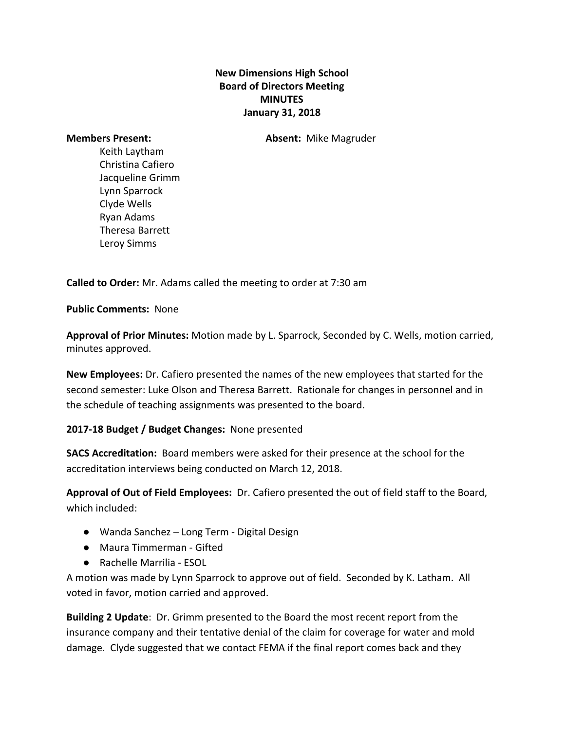## **New Dimensions High School Board of Directors Meeting MINUTES January 31, 2018**

**Members Present: Absent:** Mike Magruder

Keith Laytham Christina Cafiero Jacqueline Grimm Lynn Sparrock Clyde Wells Ryan Adams Theresa Barrett Leroy Simms

**Called to Order:** Mr. Adams called the meeting to order at 7:30 am

**Public Comments:** None

**Approval of Prior Minutes:** Motion made by L. Sparrock, Seconded by C. Wells, motion carried, minutes approved.

**New Employees:** Dr. Cafiero presented the names of the new employees that started for the second semester: Luke Olson and Theresa Barrett. Rationale for changes in personnel and in the schedule of teaching assignments was presented to the board.

## **2017-18 Budget / Budget Changes:** None presented

**SACS Accreditation:**  Board members were asked for their presence at the school for the accreditation interviews being conducted on March 12, 2018.

**Approval of Out of Field Employees:** Dr. Cafiero presented the out of field staff to the Board, which included:

- Wanda Sanchez Long Term Digital Design
- Maura Timmerman Gifted
- Rachelle Marrilia ESOL

A motion was made by Lynn Sparrock to approve out of field. Seconded by K. Latham. All voted in favor, motion carried and approved.

**Building 2 Update**: Dr. Grimm presented to the Board the most recent report from the insurance company and their tentative denial of the claim for coverage for water and mold damage. Clyde suggested that we contact FEMA if the final report comes back and they